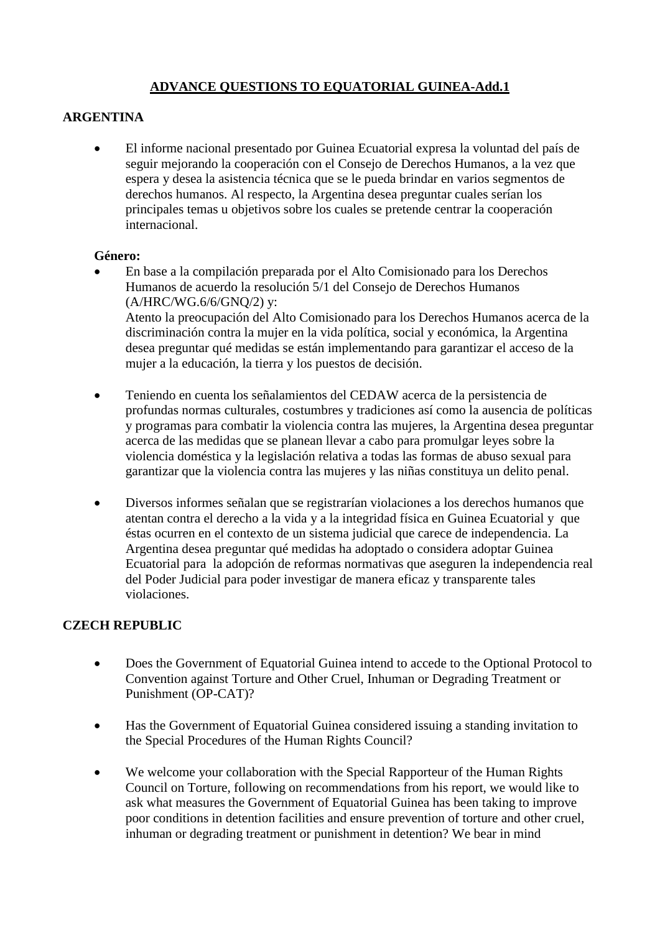## **ADVANCE QUESTIONS TO EQUATORIAL GUINEA-Add.1**

### **ARGENTINA**

 El informe nacional presentado por Guinea Ecuatorial expresa la voluntad del país de seguir mejorando la cooperación con el Consejo de Derechos Humanos, a la vez que espera y desea la asistencia técnica que se le pueda brindar en varios segmentos de derechos humanos. Al respecto, la Argentina desea preguntar cuales serían los principales temas u objetivos sobre los cuales se pretende centrar la cooperación internacional.

#### **Género:**

 En base a la compilación preparada por el Alto Comisionado para los Derechos Humanos de acuerdo la resolución 5/1 del Consejo de Derechos Humanos (A/HRC/WG.6/6/GNQ/2) y: Atento la preocupación del Alto Comisionado para los Derechos Humanos acerca de la discriminación contra la mujer en la vida política, social y económica, la Argentina

desea preguntar qué medidas se están implementando para garantizar el acceso de la mujer a la educación, la tierra y los puestos de decisión.

- Teniendo en cuenta los señalamientos del CEDAW acerca de la persistencia de profundas normas culturales, costumbres y tradiciones así como la ausencia de políticas y programas para combatir la violencia contra las mujeres, la Argentina desea preguntar acerca de las medidas que se planean llevar a cabo para promulgar leyes sobre la violencia doméstica y la legislación relativa a todas las formas de abuso sexual para garantizar que la violencia contra las mujeres y las niñas constituya un delito penal.
- Diversos informes señalan que se registrarían violaciones a los derechos humanos que atentan contra el derecho a la vida y a la integridad física en Guinea Ecuatorial y que éstas ocurren en el contexto de un sistema judicial que carece de independencia. La Argentina desea preguntar qué medidas ha adoptado o considera adoptar Guinea Ecuatorial para la adopción de reformas normativas que aseguren la independencia real del Poder Judicial para poder investigar de manera eficaz y transparente tales violaciones.

## **CZECH REPUBLIC**

- Does the Government of Equatorial Guinea intend to accede to the Optional Protocol to Convention against Torture and Other Cruel, Inhuman or Degrading Treatment or Punishment (OP-CAT)?
- Has the Government of Equatorial Guinea considered issuing a standing invitation to the Special Procedures of the Human Rights Council?
- We welcome your collaboration with the Special Rapporteur of the Human Rights Council on Torture, following on recommendations from his report, we would like to ask what measures the Government of Equatorial Guinea has been taking to improve poor conditions in detention facilities and ensure prevention of torture and other cruel, inhuman or degrading treatment or punishment in detention? We bear in mind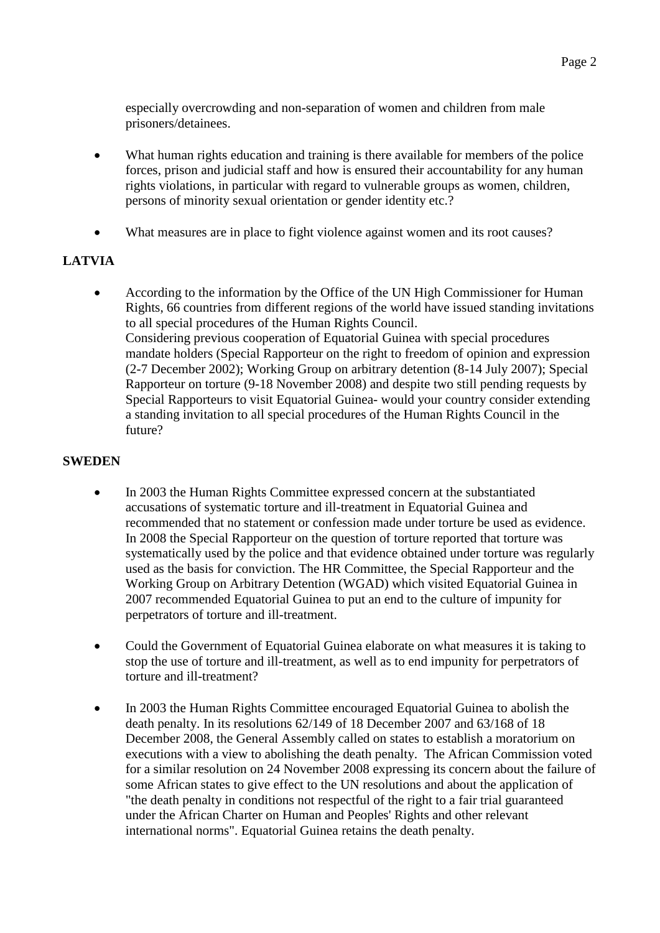especially overcrowding and non-separation of women and children from male prisoners/detainees.

- What human rights education and training is there available for members of the police forces, prison and judicial staff and how is ensured their accountability for any human rights violations, in particular with regard to vulnerable groups as women, children, persons of minority sexual orientation or gender identity etc.?
- What measures are in place to fight violence against women and its root causes?

# **LATVIA**

 According to the information by the Office of the UN High Commissioner for Human Rights, 66 countries from different regions of the world have issued standing invitations to all special procedures of the Human Rights Council. Considering previous cooperation of Equatorial Guinea with special procedures mandate holders (Special Rapporteur on the right to freedom of opinion and expression (2-7 December 2002); Working Group on arbitrary detention (8-14 July 2007); Special Rapporteur on torture (9-18 November 2008) and despite two still pending requests by Special Rapporteurs to visit Equatorial Guinea- would your country consider extending a standing invitation to all special procedures of the Human Rights Council in the future?

#### **SWEDEN**

- In 2003 the Human Rights Committee expressed concern at the substantiated accusations of systematic torture and ill-treatment in Equatorial Guinea and recommended that no statement or confession made under torture be used as evidence. In 2008 the Special Rapporteur on the question of torture reported that torture was systematically used by the police and that evidence obtained under torture was regularly used as the basis for conviction. The HR Committee, the Special Rapporteur and the Working Group on Arbitrary Detention (WGAD) which visited Equatorial Guinea in 2007 recommended Equatorial Guinea to put an end to the culture of impunity for perpetrators of torture and ill-treatment.
- Could the Government of Equatorial Guinea elaborate on what measures it is taking to stop the use of torture and ill-treatment, as well as to end impunity for perpetrators of torture and ill-treatment?
- In 2003 the Human Rights Committee encouraged Equatorial Guinea to abolish the death penalty. In its resolutions 62/149 of 18 December 2007 and 63/168 of 18 December 2008, the General Assembly called on states to establish a moratorium on executions with a view to abolishing the death penalty. The African Commission voted for a similar resolution on 24 November 2008 expressing its concern about the failure of some African states to give effect to the UN resolutions and about the application of "the death penalty in conditions not respectful of the right to a fair trial guaranteed under the African Charter on Human and Peoples' Rights and other relevant international norms". Equatorial Guinea retains the death penalty.